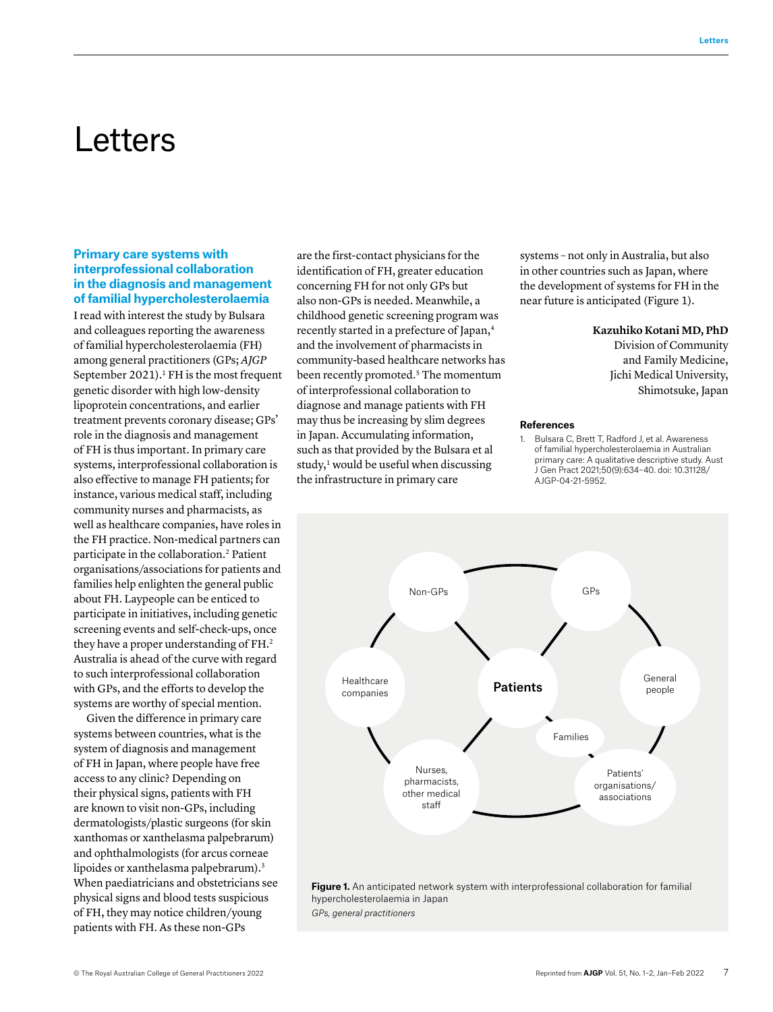# Letters

## **Primary care systems with interprofessional collaboration in the diagnosis and management of familial hypercholesterolaemia**

I read with interest the study by Bulsara and colleagues reporting the awareness of familial hypercholesterolaemia (FH) among general practitioners (GPs; *AJGP* September 2021).<sup>1</sup> FH is the most frequent genetic disorder with high low-density lipoprotein concentrations, and earlier treatment prevents coronary disease; GPs' role in the diagnosis and management of FH is thus important. In primary care systems, interprofessional collaboration is also effective to manage FH patients; for instance, various medical staff, including community nurses and pharmacists, as well as healthcare companies, have roles in the FH practice. Non-medical partners can participate in the collaboration.<sup>2</sup> Patient organisations/associations for patients and families help enlighten the general public about FH. Laypeople can be enticed to participate in initiatives, including genetic screening events and self-check-ups, once they have a proper understanding of FH.<sup>2</sup> Australia is ahead of the curve with regard to such interprofessional collaboration with GPs, and the efforts to develop the systems are worthy of special mention.

Given the difference in primary care systems between countries, what is the system of diagnosis and management of FH in Japan, where people have free access to any clinic? Depending on their physical signs, patients with FH are known to visit non-GPs, including dermatologists/plastic surgeons (for skin xanthomas or xanthelasma palpebrarum) and ophthalmologists (for arcus corneae lipoides or xanthelasma palpebrarum).<sup>3</sup> When paediatricians and obstetricians see physical signs and blood tests suspicious of FH, they may notice children/young patients with FH. As these non-GPs

are the first-contact physicians for the identification of FH, greater education concerning FH for not only GPs but also non-GPs is needed. Meanwhile, a childhood genetic screening program was recently started in a prefecture of Japan,<sup>4</sup> and the involvement of pharmacists in community-based healthcare networks has been recently promoted.<sup>5</sup> The momentum of interprofessional collaboration to diagnose and manage patients with FH may thus be increasing by slim degrees in Japan. Accumulating information, such as that provided by the Bulsara et al study, $\frac{1}{2}$  would be useful when discussing the infrastructure in primary care

systems – not only in Australia, but also in other countries such as Japan, where the development of systems for FH in the near future is anticipated (Figure 1).

#### **Kazuhiko Kotani MD, PhD**

Division of Community and Family Medicine, Jichi Medical University, Shimotsuke, Japan

#### **References**

1. Bulsara C, Brett T, Radford J, et al. Awareness of familial hypercholesterolaemia in Australian primary care: A qualitative descriptive study. Aust J Gen Pract 2021;50(9):634–40. doi: 10.31128/ AJGP-04-21-5952.



*GPs, general practitioners*